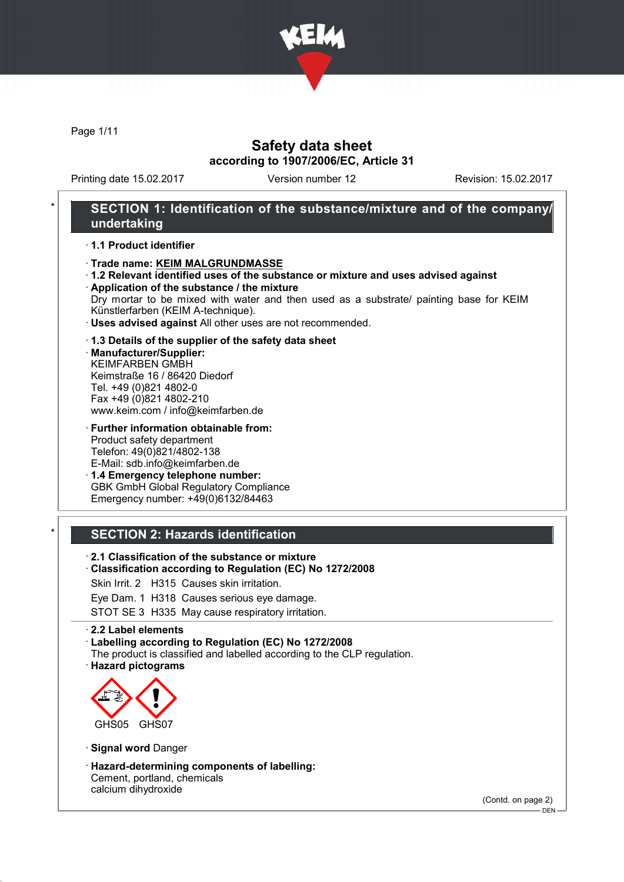

Page 1/11

## Safety data sheet according to 1907/2006/EC, Article 31

Printing date 15.02.2017 Version number 12 Revision: 15.02.2017

## SECTION 1: Identification of the substance/mixture and of the company/ undertaking

### · 1.1 Product identifier

### · Trade name: KEIM MALGRUNDMASSE

· 1.2 Relevant identified uses of the substance or mixture and uses advised against · Application of the substance / the mixture

Dry mortar to be mixed with water and then used as a substrate/ painting base for KEIM Künstlerfarben (KEIM A-technique).

· Uses advised against All other uses are not recommended.

### · 1.3 Details of the supplier of the safety data sheet

· Manufacturer/Supplier: KEIMFARBEN GMBH Keimstraße 16 / 86420 Diedorf Tel. +49 (0)821 4802-0 Fax +49 (0)821 4802-210 www.keim.com / info@keimfarben.de

· Further information obtainable from: Product safety department Telefon: 49(0)821/4802-138 E-Mail: sdb.info@keimfarben.de

· 1.4 Emergency telephone number: GBK GmbH Global Regulatory Compliance Emergency number: +49(0)6132/84463

## **SECTION 2: Hazards identification**

- · 2.1 Classification of the substance or mixture
- · Classification according to Regulation (EC) No 1272/2008
- Skin Irrit. 2 H315 Causes skin irritation.
- Eye Dam. 1 H318 Causes serious eye damage.

STOT SE 3 H335 May cause respiratory irritation.

#### · 2.2 Label elements

· Labelling according to Regulation (EC) No 1272/2008

- The product is classified and labelled according to the CLP regulation.
- · Hazard pictograms



- · Signal word Danger
- · Hazard-determining components of labelling: Cement, portland, chemicals calcium dihydroxide

(Contd. on page 2)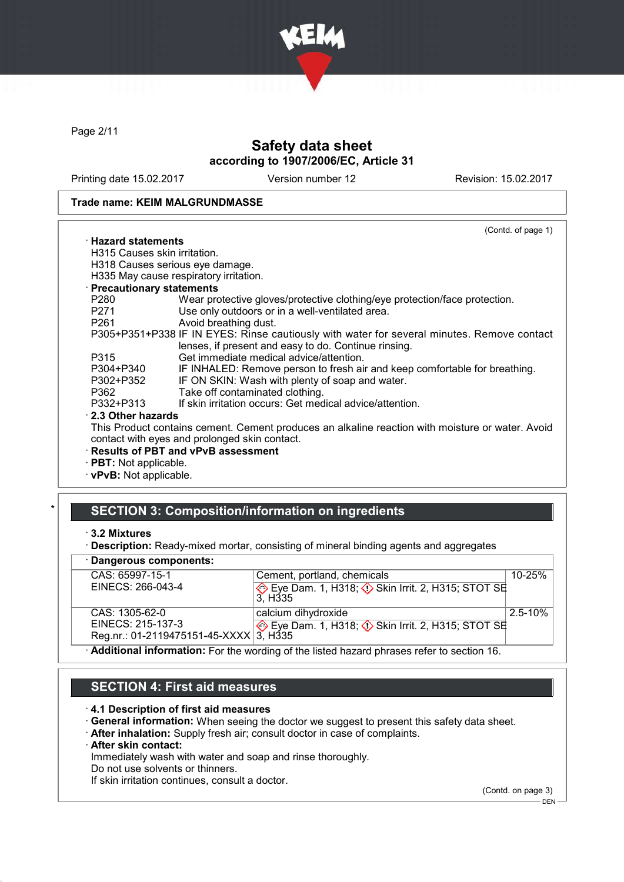

Page 2/11

# Safety data sheet according to 1907/2006/EC, Article 31

Printing date 15.02.2017 Version number 12 Revision: 15.02.2017

#### Trade name: KEIM MALGRUNDMASSE

|                              | (Contd. of page 1)                                                                                                                                |
|------------------------------|---------------------------------------------------------------------------------------------------------------------------------------------------|
| $\cdot$ Hazard statements.   |                                                                                                                                                   |
| H315 Causes skin irritation. |                                                                                                                                                   |
|                              | H318 Causes serious eye damage.                                                                                                                   |
|                              | H335 May cause respiratory irritation.                                                                                                            |
| · Precautionary statements   |                                                                                                                                                   |
| P280 a                       | Wear protective gloves/protective clothing/eye protection/face protection.                                                                        |
| P271                         | Use only outdoors or in a well-ventilated area.                                                                                                   |
| P261 <b>P26</b>              | Avoid breathing dust.                                                                                                                             |
|                              | P305+P351+P338 IF IN EYES: Rinse cautiously with water for several minutes. Remove contact                                                        |
|                              | lenses, if present and easy to do. Continue rinsing.                                                                                              |
| P315                         | Get immediate medical advice/attention.                                                                                                           |
| P304+P340                    | IF INHALED: Remove person to fresh air and keep comfortable for breathing.                                                                        |
| P302+P352                    | IF ON SKIN: Wash with plenty of soap and water.                                                                                                   |
| P362                         | Take off contaminated clothing.                                                                                                                   |
| P332+P313                    | If skin irritation occurs: Get medical advice/attention.                                                                                          |
| $\cdot$ 2.3 Other hazards    |                                                                                                                                                   |
|                              | This Product contains cement. Cement produces an alkaline reaction with moisture or water. Avoid<br>contact with eyes and prolonged skin contact. |
|                              | · Results of PBT and vPvB assessment                                                                                                              |
| · PBT: Not applicable.       |                                                                                                                                                   |
|                              |                                                                                                                                                   |

· vPvB: Not applicable.

# SECTION 3: Composition/information on ingredients

### · Dangerous components:

| $-$ , , , , , , ,                                                                         |                                                                                  |             |
|-------------------------------------------------------------------------------------------|----------------------------------------------------------------------------------|-------------|
| CAS: 65997-15-1                                                                           | Cement, portland, chemicals                                                      | $10 - 25%$  |
| EINECS: 266-043-4                                                                         | Eye Dam. 1, H318; $\Diamond$ Skin Irrit. 2, H315; STOT SE<br>3. H <sub>335</sub> |             |
| CAS: 1305-62-0                                                                            | calcium dihydroxide                                                              | $2.5 - 10%$ |
| EINECS: 215-137-3                                                                         | Eye Dam. 1, H318; $\Diamond$ Skin Irrit. 2, H315; STOT SE                        |             |
| Reg.nr.: 01-2119475151-45-XXXX 3, H335                                                    |                                                                                  |             |
| Additional information: For the wording of the listed hazard phrases refer to section 16. |                                                                                  |             |

## SECTION 4: First aid measures

#### · 4.1 Description of first aid measures

- · General information: When seeing the doctor we suggest to present this safety data sheet.
- · After inhalation: Supply fresh air; consult doctor in case of complaints.
- · After skin contact:

Immediately wash with water and soap and rinse thoroughly.

Do not use solvents or thinners.

If skin irritation continues, consult a doctor.

(Contd. on page 3)

<sup>·</sup> 3.2 Mixtures

<sup>·</sup> Description: Ready-mixed mortar, consisting of mineral binding agents and aggregates

 $-$  DEN  $-$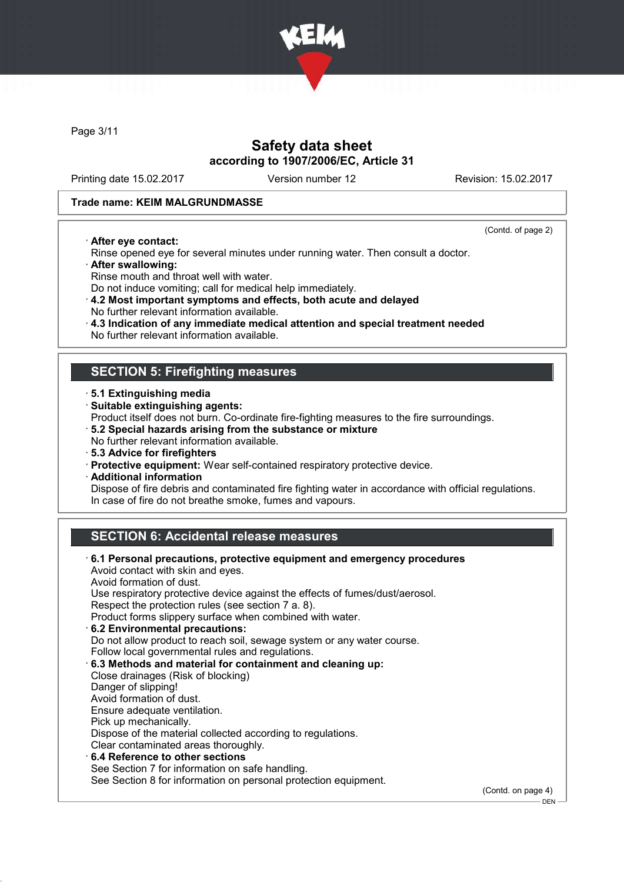

Page 3/11

## Safety data sheet according to 1907/2006/EC, Article 31

Printing date 15.02.2017 Version number 12 Revision: 15.02.2017

(Contd. of page 2)

– DEN -

### Trade name: KEIM MALGRUNDMASSE

· After eye contact:

Rinse opened eye for several minutes under running water. Then consult a doctor.

- · After swallowing:
- Rinse mouth and throat well with water.
- Do not induce vomiting; call for medical help immediately.

· 4.2 Most important symptoms and effects, both acute and delayed No further relevant information available.

- · 4.3 Indication of any immediate medical attention and special treatment needed
- No further relevant information available.

## SECTION 5: Firefighting measures

- · 5.1 Extinguishing media
- · Suitable extinguishing agents:
- Product itself does not burn. Co-ordinate fire-fighting measures to the fire surroundings.
- · 5.2 Special hazards arising from the substance or mixture
- No further relevant information available.
- · 5.3 Advice for firefighters
- · Protective equipment: Wear self-contained respiratory protective device.
- · Additional information

Dispose of fire debris and contaminated fire fighting water in accordance with official regulations. In case of fire do not breathe smoke, fumes and vapours.

# SECTION 6: Accidental release measures

| 6.1 Personal precautions, protective equipment and emergency procedures<br>Avoid contact with skin and eyes. |                    |
|--------------------------------------------------------------------------------------------------------------|--------------------|
| Avoid formation of dust.                                                                                     |                    |
| Use respiratory protective device against the effects of fumes/dust/aerosol.                                 |                    |
| Respect the protection rules (see section 7 a. 8).                                                           |                    |
| Product forms slippery surface when combined with water.                                                     |                    |
| 6.2 Environmental precautions:                                                                               |                    |
| Do not allow product to reach soil, sewage system or any water course.                                       |                    |
| Follow local governmental rules and regulations.                                                             |                    |
| 6.3 Methods and material for containment and cleaning up:                                                    |                    |
| Close drainages (Risk of blocking)                                                                           |                    |
| Danger of slipping!                                                                                          |                    |
| Avoid formation of dust.                                                                                     |                    |
| Ensure adequate ventilation.                                                                                 |                    |
| Pick up mechanically.                                                                                        |                    |
| Dispose of the material collected according to regulations.                                                  |                    |
| Clear contaminated areas thoroughly.                                                                         |                    |
| ⋅6.4 Reference to other sections                                                                             |                    |
| See Section 7 for information on safe handling.                                                              |                    |
| See Section 8 for information on personal protection equipment.                                              |                    |
|                                                                                                              | (Contd. on page 4) |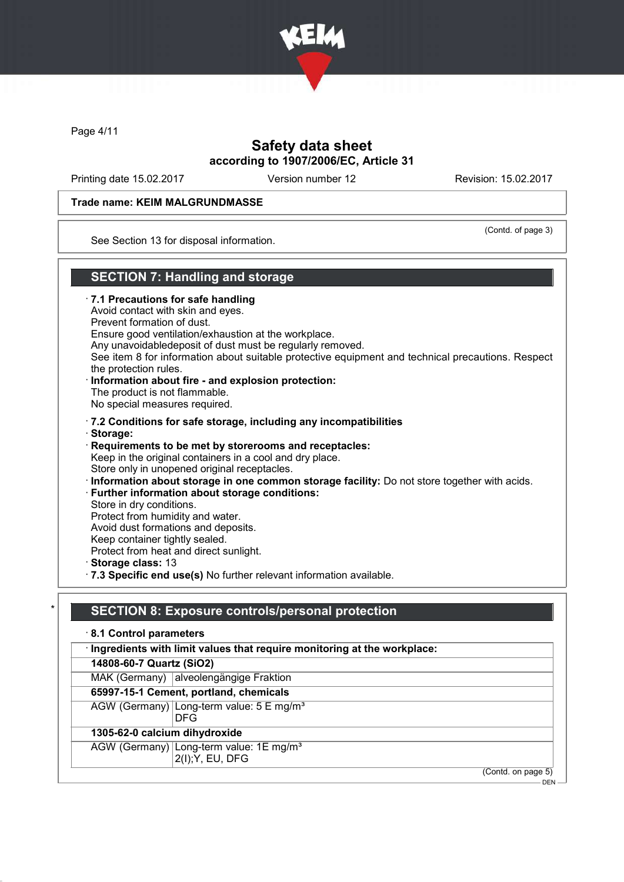

Page 4/11

## Safety data sheet according to 1907/2006/EC, Article 31

Printing date 15.02.2017 Version number 12 Revision: 15.02.2017

### Trade name: KEIM MALGRUNDMASSE

(Contd. of page 3)

See Section 13 for disposal information.

## SECTION 7: Handling and storage

- · 7.1 Precautions for safe handling
- Avoid contact with skin and eyes.
- Prevent formation of dust.
- Ensure good ventilation/exhaustion at the workplace.
- Any unavoidabledeposit of dust must be regularly removed.
- See item 8 for information about suitable protective equipment and technical precautions. Respect the protection rules.
- · Information about fire and explosion protection: The product is not flammable. No special measures required.
- 
- · 7.2 Conditions for safe storage, including any incompatibilities
- · Storage:
- · Requirements to be met by storerooms and receptacles: Keep in the original containers in a cool and dry place. Store only in unopened original receptacles. · Information about storage in one common storage facility: Do not store together with acids.
- · Further information about storage conditions:
- Store in dry conditions.
- Protect from humidity and water.
- Avoid dust formations and deposits.
- Keep container tightly sealed.
- Protect from heat and direct sunlight.
- · Storage class: 13
- · 7.3 Specific end use(s) No further relevant information available.

## SECTION 8: Exposure controls/personal protection

- · 8.1 Control parameters
- · Ingredients with limit values that require monitoring at the workplace:
- 14808-60-7 Quartz (SiO2)
- MAK (Germany) alveolengängige Fraktion
- 65997-15-1 Cement, portland, chemicals
- AGW (Germany) Long-term value: 5 E mg/m<sup>3</sup>
	- DFG

### 1305-62-0 calcium dihydroxide

- AGW (Germany) Long-term value: 1E mg/m<sup>3</sup>
	- 2(I);Y, EU, DFG
- (Contd. on page 5)
	- DEN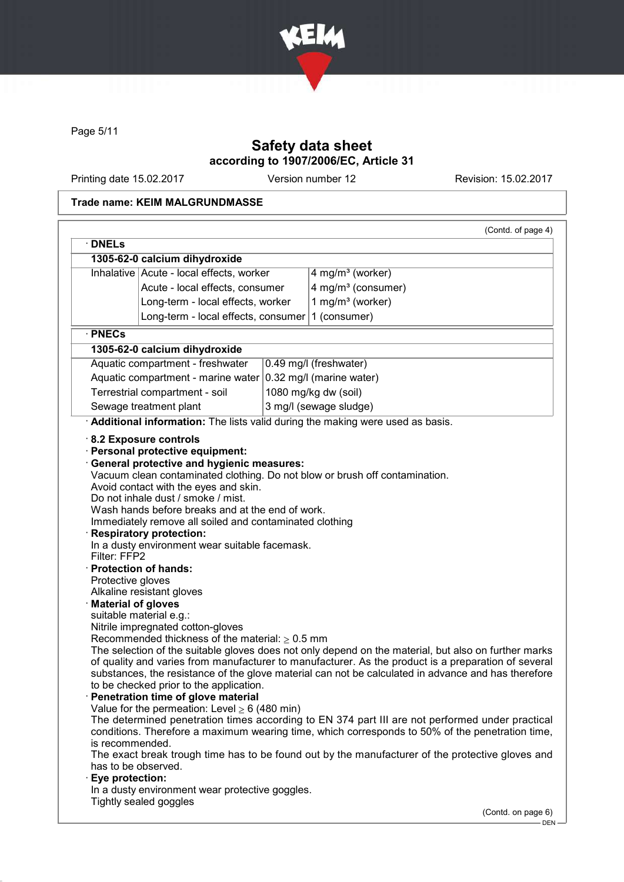

Page 5/11

# Safety data sheet according to 1907/2006/EC, Article 31

Printing date 15.02.2017 Version number 12 Revision: 15.02.2017

### Trade name: KEIM MALGRUNDMASSE

|                      |                                                           | (Contd. of page 4)                                                                                   |
|----------------------|-----------------------------------------------------------|------------------------------------------------------------------------------------------------------|
| $\cdot$ DNELs        |                                                           |                                                                                                      |
|                      | 1305-62-0 calcium dihydroxide                             |                                                                                                      |
|                      | Inhalative Acute - local effects, worker                  | 4 mg/m <sup>3</sup> (worker)                                                                         |
|                      | Acute - local effects, consumer                           | 4 mg/m <sup>3</sup> (consumer)                                                                       |
|                      | Long-term - local effects, worker                         | 1 mg/m <sup>3</sup> (worker)                                                                         |
|                      | Long-term - local effects, consumer                       | 1 (consumer)                                                                                         |
| · PNECs              |                                                           |                                                                                                      |
|                      | 1305-62-0 calcium dihydroxide                             |                                                                                                      |
|                      | Aquatic compartment - freshwater                          | 0.49 mg/l (freshwater)                                                                               |
|                      | Aquatic compartment - marine water                        | 0.32 mg/l (marine water)                                                                             |
|                      | Terrestrial compartment - soil                            | 1080 mg/kg dw (soil)                                                                                 |
|                      | Sewage treatment plant                                    | 3 mg/l (sewage sludge)                                                                               |
|                      |                                                           | Additional information: The lists valid during the making were used as basis.                        |
|                      |                                                           |                                                                                                      |
|                      | 8.2 Exposure controls<br>· Personal protective equipment: |                                                                                                      |
|                      | General protective and hygienic measures:                 |                                                                                                      |
|                      |                                                           | Vacuum clean contaminated clothing. Do not blow or brush off contamination.                          |
|                      | Avoid contact with the eyes and skin.                     |                                                                                                      |
|                      | Do not inhale dust / smoke / mist.                        |                                                                                                      |
|                      | Wash hands before breaks and at the end of work.          |                                                                                                      |
|                      | Immediately remove all soiled and contaminated clothing   |                                                                                                      |
|                      | <b>Respiratory protection:</b>                            |                                                                                                      |
|                      | In a dusty environment wear suitable facemask.            |                                                                                                      |
| Filter: FFP2         |                                                           |                                                                                                      |
|                      | · Protection of hands:                                    |                                                                                                      |
| Protective gloves    |                                                           |                                                                                                      |
|                      | Alkaline resistant gloves                                 |                                                                                                      |
| · Material of gloves |                                                           |                                                                                                      |
|                      | suitable material e.g.:                                   |                                                                                                      |
|                      | Nitrile impregnated cotton-gloves                         |                                                                                                      |
|                      | Recommended thickness of the material: $\geq 0.5$ mm      |                                                                                                      |
|                      |                                                           | The selection of the suitable gloves does not only depend on the material, but also on further marks |
|                      |                                                           | of quality and varies from manufacturer to manufacturer. As the product is a preparation of several  |
|                      |                                                           | substances, the resistance of the glove material can not be calculated in advance and has therefore  |
|                      | to be checked prior to the application.                   |                                                                                                      |
|                      | · Penetration time of glove material                      |                                                                                                      |
|                      | Value for the permeation: Level $\geq 6$ (480 min)        |                                                                                                      |
|                      |                                                           | The determined penetration times according to EN 374 part III are not performed under practical      |
|                      |                                                           | conditions. Therefore a maximum wearing time, which corresponds to 50% of the penetration time,      |
| is recommended.      |                                                           |                                                                                                      |
| has to be observed.  |                                                           | The exact break trough time has to be found out by the manufacturer of the protective gloves and     |
| · Eye protection:    |                                                           |                                                                                                      |
|                      | In a dusty environment wear protective goggles.           |                                                                                                      |
|                      | Tightly sealed goggles                                    |                                                                                                      |
|                      |                                                           | (Contd. on page 6)                                                                                   |
|                      |                                                           |                                                                                                      |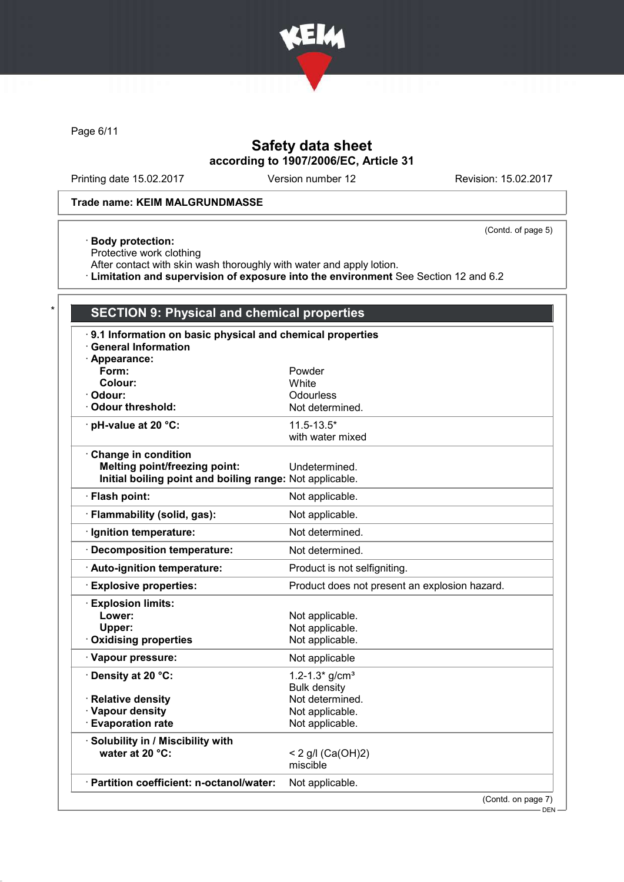

Page 6/11

# Safety data sheet according to 1907/2006/EC, Article 31

Printing date 15.02.2017 Version number 12 Revision: 15.02.2017

(Contd. of page 5)

### Trade name: KEIM MALGRUNDMASSE

### · Body protection:

Protective work clothing

After contact with skin wash thoroughly with water and apply lotion.

· Limitation and supervision of exposure into the environment See Section 12 and 6.2

# SECTION 9: Physical and chemical properties

| 9.1 Information on basic physical and chemical properties<br><b>General Information</b> |                                               |
|-----------------------------------------------------------------------------------------|-----------------------------------------------|
| Appearance:                                                                             |                                               |
| Form:                                                                                   | Powder                                        |
| Colour:                                                                                 | White                                         |
| · Odour:                                                                                | Odourless                                     |
| Odour threshold:                                                                        | Not determined.                               |
| $\cdot$ pH-value at 20 °C:                                                              | $11.5 - 13.5*$                                |
|                                                                                         | with water mixed                              |
| Change in condition                                                                     |                                               |
| <b>Melting point/freezing point:</b>                                                    | Undetermined.                                 |
| Initial boiling point and boiling range: Not applicable.                                |                                               |
| · Flash point:                                                                          | Not applicable.                               |
| · Flammability (solid, gas):                                                            | Not applicable.                               |
| · Ignition temperature:                                                                 | Not determined.                               |
| · Decomposition temperature:                                                            | Not determined.                               |
| Auto-ignition temperature:                                                              | Product is not selfigniting.                  |
| <b>Explosive properties:</b>                                                            | Product does not present an explosion hazard. |
| <b>Explosion limits:</b>                                                                |                                               |
| Lower:                                                                                  | Not applicable.                               |
| Upper:                                                                                  | Not applicable.                               |
| <b>Oxidising properties</b>                                                             | Not applicable.                               |
| · Vapour pressure:                                                                      | Not applicable                                |
| · Density at 20 °C:                                                                     | $1.2 - 1.3*$ g/cm <sup>3</sup>                |
|                                                                                         | <b>Bulk density</b>                           |
| · Relative density                                                                      | Not determined.                               |
| · Vapour density                                                                        | Not applicable.                               |
| <b>Evaporation rate</b>                                                                 | Not applicable.                               |
| · Solubility in / Miscibility with                                                      |                                               |
| water at 20 °C:                                                                         | < 2 g/l (Ca(OH)2)                             |
|                                                                                         | miscible                                      |
| · Partition coefficient: n-octanol/water:                                               | Not applicable.                               |
|                                                                                         | (Contd. on page 7)                            |

DEN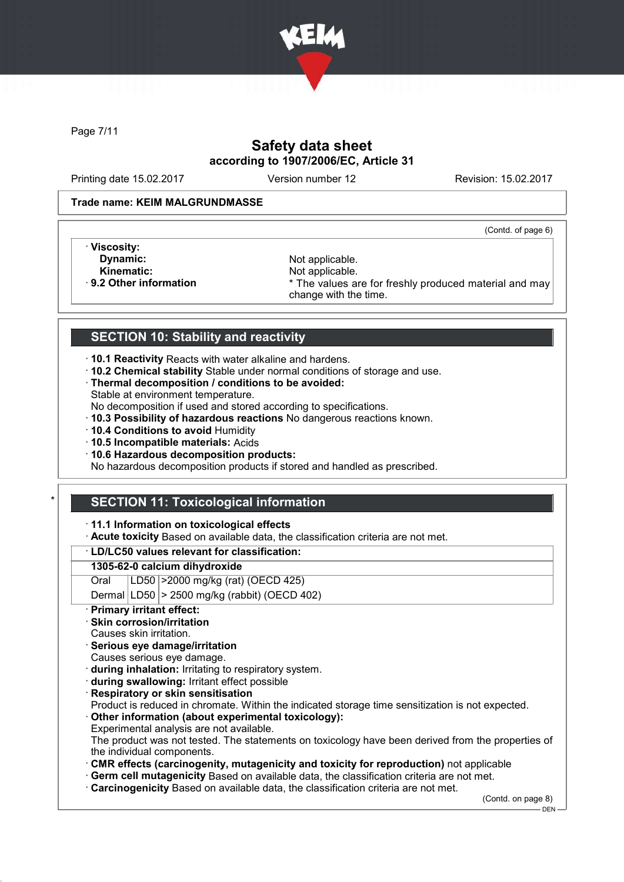

Page 7/11

# Safety data sheet according to 1907/2006/EC, Article 31

Printing date 15.02.2017 Version number 12 Revision: 15.02.2017

### Trade name: KEIM MALGRUNDMASSE

(Contd. of page 6)

- · Viscosity:
- 
- 

**Dynamic:** Not applicable.<br> **Kinematic:** Not applicable. Kinematic: Not applicable.<br> **Reading the Set of Allie Area Act Act Area Act Area Area Act Area Act Area Act Area Act Area Act Area Act Area Act Area Act Area Act Area Act Area Act Area Act Area Act Area Act Area Act Area A** \* The values are for freshly produced material and may change with the time.

# SECTION 10: Stability and reactivity

- · 10.1 Reactivity Reacts with water alkaline and hardens.
- · 10.2 Chemical stability Stable under normal conditions of storage and use.
- · Thermal decomposition / conditions to be avoided: Stable at environment temperature.
- No decomposition if used and stored according to specifications.
- · 10.3 Possibility of hazardous reactions No dangerous reactions known.
- · 10.4 Conditions to avoid Humidity
- · 10.5 Incompatible materials: Acids
- · 10.6 Hazardous decomposition products:

No hazardous decomposition products if stored and handled as prescribed.

# **SECTION 11: Toxicological information**

### · 11.1 Information on toxicological effects

· Acute toxicity Based on available data, the classification criteria are not met.

### · LD/LC50 values relevant for classification:

### 1305-62-0 calcium dihydroxide

Oral LD50 >2000 mg/kg (rat) (OECD 425)

Dermal  $|LD50|$  > 2500 mg/kg (rabbit) (OECD 402)

- **Primary irritant effect:**
- **Skin corrosion/irritation**
- Causes skin irritation.
- Serious eye damage/irritation
- Causes serious eye damage.
- · during inhalation: Irritating to respiratory system.
- · during swallowing: Irritant effect possible
- **Respiratory or skin sensitisation**

Product is reduced in chromate. Within the indicated storage time sensitization is not expected.

· Other information (about experimental toxicology): Experimental analysis are not available.

The product was not tested. The statements on toxicology have been derived from the properties of the individual components.

- · CMR effects (carcinogenity, mutagenicity and toxicity for reproduction) not applicable
- · Germ cell mutagenicity Based on available data, the classification criteria are not met.
- · Carcinogenicity Based on available data, the classification criteria are not met.

(Contd. on page 8)

<sup>-</sup> DEN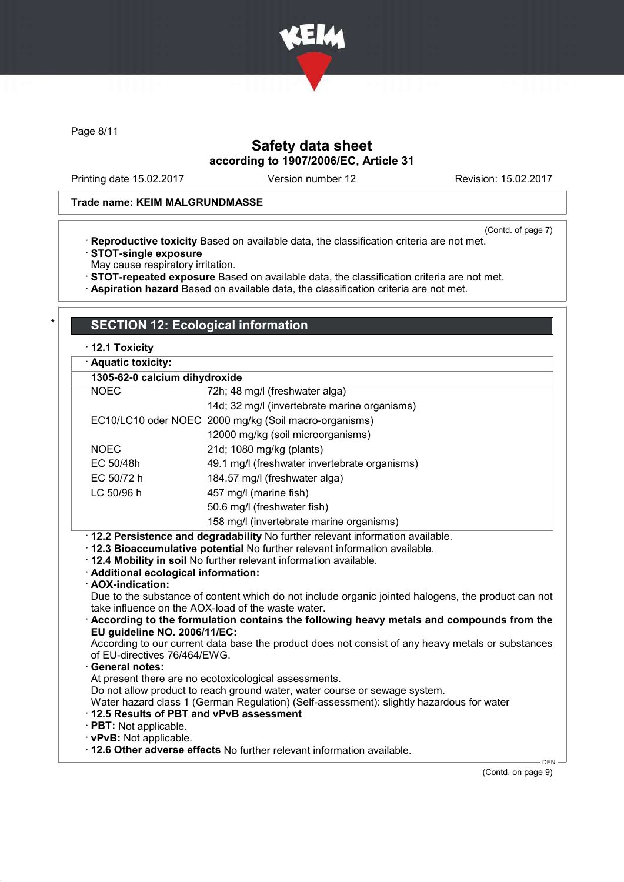

Page 8/11

# Safety data sheet according to 1907/2006/EC, Article 31

Printing date 15.02.2017 Version number 12 Revision: 15.02.2017

### Trade name: KEIM MALGRUNDMASSE

(Contd. of page 7)

- · Reproductive toxicity Based on available data, the classification criteria are not met. · STOT-single exposure
- May cause respiratory irritation.
- · STOT-repeated exposure Based on available data, the classification criteria are not met.
- · Aspiration hazard Based on available data, the classification criteria are not met.

## **SECTION 12: Ecological information**

### · 12.1 Toxicity

| · Aquatic toxicity:                                                                                                                           |                                                                                                                                                                                                                                                                                                                                                                                                                                                                                                                                                                               |  |  |  |  |
|-----------------------------------------------------------------------------------------------------------------------------------------------|-------------------------------------------------------------------------------------------------------------------------------------------------------------------------------------------------------------------------------------------------------------------------------------------------------------------------------------------------------------------------------------------------------------------------------------------------------------------------------------------------------------------------------------------------------------------------------|--|--|--|--|
| 1305-62-0 calcium dihydroxide                                                                                                                 |                                                                                                                                                                                                                                                                                                                                                                                                                                                                                                                                                                               |  |  |  |  |
| <b>NOEC</b>                                                                                                                                   | 72h; 48 mg/l (freshwater alga)                                                                                                                                                                                                                                                                                                                                                                                                                                                                                                                                                |  |  |  |  |
|                                                                                                                                               | 14d; 32 mg/l (invertebrate marine organisms)                                                                                                                                                                                                                                                                                                                                                                                                                                                                                                                                  |  |  |  |  |
| EC10/LC10 oder NOEC                                                                                                                           | 2000 mg/kg (Soil macro-organisms)                                                                                                                                                                                                                                                                                                                                                                                                                                                                                                                                             |  |  |  |  |
|                                                                                                                                               | 12000 mg/kg (soil microorganisms)                                                                                                                                                                                                                                                                                                                                                                                                                                                                                                                                             |  |  |  |  |
| <b>NOEC</b>                                                                                                                                   | 21d; 1080 mg/kg (plants)                                                                                                                                                                                                                                                                                                                                                                                                                                                                                                                                                      |  |  |  |  |
| EC 50/48h                                                                                                                                     | 49.1 mg/l (freshwater invertebrate organisms)                                                                                                                                                                                                                                                                                                                                                                                                                                                                                                                                 |  |  |  |  |
| EC 50/72 h                                                                                                                                    | 184.57 mg/l (freshwater alga)                                                                                                                                                                                                                                                                                                                                                                                                                                                                                                                                                 |  |  |  |  |
| LC 50/96 h                                                                                                                                    | 457 mg/l (marine fish)                                                                                                                                                                                                                                                                                                                                                                                                                                                                                                                                                        |  |  |  |  |
| 50.6 mg/l (freshwater fish)                                                                                                                   |                                                                                                                                                                                                                                                                                                                                                                                                                                                                                                                                                                               |  |  |  |  |
|                                                                                                                                               | 158 mg/l (invertebrate marine organisms)                                                                                                                                                                                                                                                                                                                                                                                                                                                                                                                                      |  |  |  |  |
| · Additional ecological information:<br>· AOX-indication:<br>EU guideline NO. 2006/11/EC:<br>of EU-directives 76/464/EWG.<br>· General notes: | · 12.4 Mobility in soil No further relevant information available.<br>Due to the substance of content which do not include organic jointed halogens, the product can not<br>take influence on the AOX-load of the waste water.<br>$\cdot$ According to the formulation contains the following heavy metals and compounds from the<br>According to our current data base the product does not consist of any heavy metals or substances<br>At present there are no ecotoxicological assessments.<br>Do not allow product to reach ground water, water course or sewage system. |  |  |  |  |
| 12.5 Results of PBT and vPvB assessment<br>$\cdot$ PBT: Not applicable.                                                                       | Water hazard class 1 (German Regulation) (Self-assessment): slightly hazardous for water                                                                                                                                                                                                                                                                                                                                                                                                                                                                                      |  |  |  |  |
| · vPvB: Not applicable.                                                                                                                       |                                                                                                                                                                                                                                                                                                                                                                                                                                                                                                                                                                               |  |  |  |  |
|                                                                                                                                               | . 12.6 Other adverse effects No further relevant information available.                                                                                                                                                                                                                                                                                                                                                                                                                                                                                                       |  |  |  |  |

(Contd. on page 9)

DEN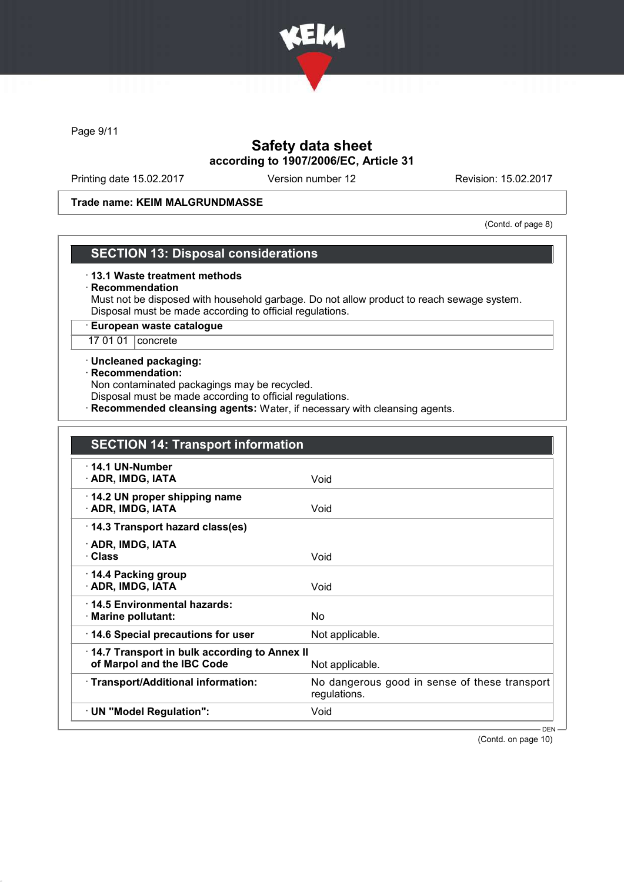

Page 9/11

# Safety data sheet according to 1907/2006/EC, Article 31

Printing date 15.02.2017 Version number 12 Revision: 15.02.2017

#### Trade name: KEIM MALGRUNDMASSE

(Contd. of page 8)

### SECTION 13: Disposal considerations

#### · 13.1 Waste treatment methods

#### · Recommendation

Must not be disposed with household garbage. Do not allow product to reach sewage system. Disposal must be made according to official regulations.

### · European waste catalogue

17 01 01 concrete

#### · Uncleaned packaging:

#### · Recommendation:

Non contaminated packagings may be recycled.

Disposal must be made according to official regulations.

· Recommended cleansing agents: Water, if necessary with cleansing agents.

| <b>SECTION 14: Transport information</b>                                   |                                                               |
|----------------------------------------------------------------------------|---------------------------------------------------------------|
| $\cdot$ 14.1 UN-Number<br>· ADR, IMDG, IATA                                | Void                                                          |
| 14.2 UN proper shipping name<br>· ADR, IMDG, IATA                          | Void                                                          |
| 14.3 Transport hazard class(es)                                            |                                                               |
| · ADR, IMDG, IATA<br>· Class                                               | Void                                                          |
| ⋅ 14.4 Packing group<br>· ADR, IMDG, IATA                                  | Void                                                          |
| 14.5 Environmental hazards:<br>· Marine pollutant:                         | No                                                            |
| 14.6 Special precautions for user                                          | Not applicable.                                               |
| 14.7 Transport in bulk according to Annex II<br>of Marpol and the IBC Code | Not applicable.                                               |
| · Transport/Additional information:                                        | No dangerous good in sense of these transport<br>regulations. |
| · UN "Model Regulation":                                                   | Void                                                          |

(Contd. on page 10)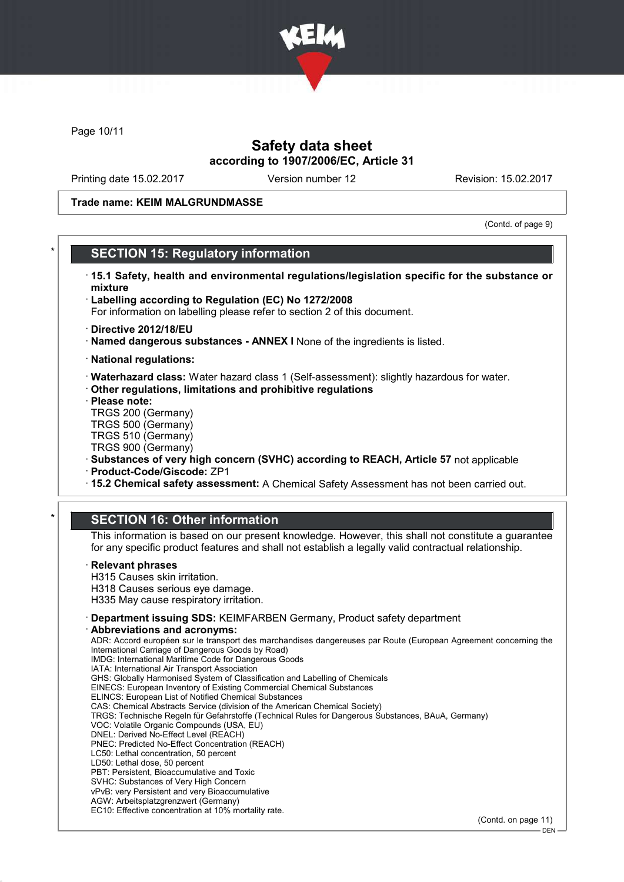

Page 10/11

## Safety data sheet according to 1907/2006/EC, Article 31

Printing date 15.02.2017 Version number 12 Revision: 15.02.2017

#### Trade name: KEIM MALGRUNDMASSE

(Contd. of page 9)

### **SECTION 15: Regulatory information**

- · 15.1 Safety, health and environmental regulations/legislation specific for the substance or mixture
- · Labelling according to Regulation (EC) No 1272/2008
- For information on labelling please refer to section 2 of this document.
- · Directive 2012/18/EU
- · Named dangerous substances ANNEX I None of the ingredients is listed.
- · National regulations:
- · Waterhazard class: Water hazard class 1 (Self-assessment): slightly hazardous for water.
- · Other regulations, limitations and prohibitive regulations
- · Please note:
- TRGS 200 (Germany) TRGS 500 (Germany)
- TRGS 510 (Germany)
- TRGS 900 (Germany)
- · Substances of very high concern (SVHC) according to REACH, Article 57 not applicable
- · Product-Code/Giscode: ZP1
- · 15.2 Chemical safety assessment: A Chemical Safety Assessment has not been carried out.

### **SECTION 16: Other information**

This information is based on our present knowledge. However, this shall not constitute a guarantee for any specific product features and shall not establish a legally valid contractual relationship.

#### **Relevant phrases**

H315 Causes skin irritation. H318 Causes serious eye damage.

- H335 May cause respiratory irritation.
- · Department issuing SDS: KEIMFARBEN Germany, Product safety department

#### Abbreviations and acronyms:

ADR: Accord européen sur le transport des marchandises dangereuses par Route (European Agreement concerning the International Carriage of Dangerous Goods by Road) IMDG: International Maritime Code for Dangerous Goods IATA: International Air Transport Association GHS: Globally Harmonised System of Classification and Labelling of Chemicals EINECS: European Inventory of Existing Commercial Chemical Substances ELINCS: European List of Notified Chemical Substances CAS: Chemical Abstracts Service (division of the American Chemical Society) TRGS: Technische Regeln für Gefahrstoffe (Technical Rules for Dangerous Substances, BAuA, Germany) VOC: Volatile Organic Compounds (USA, EU) DNEL: Derived No-Effect Level (REACH) PNEC: Predicted No-Effect Concentration (REACH) LC50: Lethal concentration, 50 percent LD50: Lethal dose, 50 percent PBT: Persistent, Bioaccumulative and Toxic SVHC: Substances of Very High Concern vPvB: very Persistent and very Bioaccumulative AGW: Arbeitsplatzgrenzwert (Germany) EC10: Effective concentration at 10% mortality rate.

(Contd. on page 11)